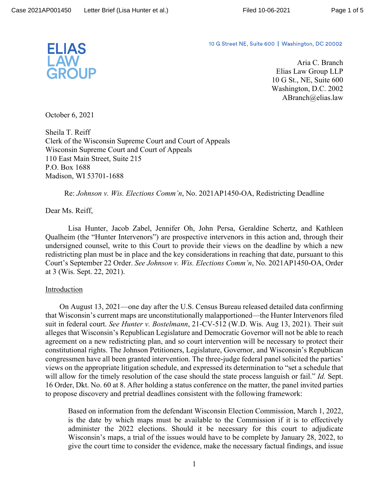

10 G Street NE, Suite 600 | Washington, DC 20002

Aria C. Branch Elias Law Group LLP 10 G St., NE, Suite 600 Washington, D.C. 2002 ABranch@elias.law

October 6, 2021

Sheila T. Reiff Clerk of the Wisconsin Supreme Court and Court of Appeals Wisconsin Supreme Court and Court of Appeals 110 East Main Street, Suite 215 P.O. Box 1688 Madison, WI 53701-1688

Re: *Johnson v. Wis. Elections Comm'n*, No. 2021AP1450-OA, Redistricting Deadline

Dear Ms. Reiff,

 Lisa Hunter, Jacob Zabel, Jennifer Oh, John Persa, Geraldine Schertz, and Kathleen Qualheim (the "Hunter Intervenors") are prospective intervenors in this action and, through their undersigned counsel, write to this Court to provide their views on the deadline by which a new redistricting plan must be in place and the key considerations in reaching that date, pursuant to this Court's September 22 Order. *See Johnson v. Wis. Elections Comm'n*, No. 2021AP1450-OA, Order at 3 (Wis. Sept. 22, 2021).

## **Introduction**

On August 13, 2021—one day after the U.S. Census Bureau released detailed data confirming that Wisconsin's current maps are unconstitutionally malapportioned—the Hunter Intervenors filed suit in federal court. *See Hunter v. Bostelmann*, 21-CV-512 (W.D. Wis. Aug 13, 2021). Their suit alleges that Wisconsin's Republican Legislature and Democratic Governor will not be able to reach agreement on a new redistricting plan, and so court intervention will be necessary to protect their constitutional rights. The Johnson Petitioners, Legislature, Governor, and Wisconsin's Republican congressmen have all been granted intervention. The three-judge federal panel solicited the parties' views on the appropriate litigation schedule, and expressed its determination to "set a schedule that will allow for the timely resolution of the case should the state process languish or fail." *Id.* Sept. 16 Order, Dkt. No. 60 at 8. After holding a status conference on the matter, the panel invited parties to propose discovery and pretrial deadlines consistent with the following framework:

Based on information from the defendant Wisconsin Election Commission, March 1, 2022, is the date by which maps must be available to the Commission if it is to effectively administer the 2022 elections. Should it be necessary for this court to adjudicate Wisconsin's maps, a trial of the issues would have to be complete by January 28, 2022, to give the court time to consider the evidence, make the necessary factual findings, and issue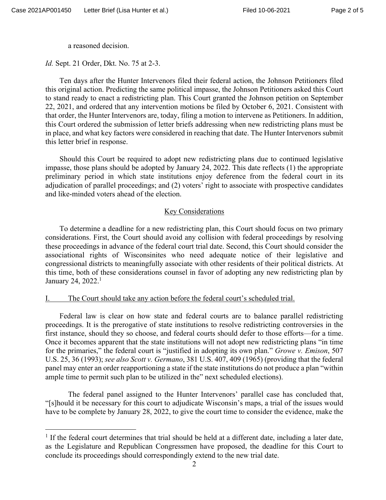a reasoned decision.

*Id.* Sept. 21 Order, Dkt. No. 75 at 2-3.

Ten days after the Hunter Intervenors filed their federal action, the Johnson Petitioners filed this original action. Predicting the same political impasse, the Johnson Petitioners asked this Court to stand ready to enact a redistricting plan. This Court granted the Johnson petition on September 22, 2021, and ordered that any intervention motions be filed by October 6, 2021. Consistent with that order, the Hunter Intervenors are, today, filing a motion to intervene as Petitioners. In addition, this Court ordered the submission of letter briefs addressing when new redistricting plans must be in place, and what key factors were considered in reaching that date. The Hunter Intervenors submit this letter brief in response.

Should this Court be required to adopt new redistricting plans due to continued legislative impasse, those plans should be adopted by January 24, 2022. This date reflects (1) the appropriate preliminary period in which state institutions enjoy deference from the federal court in its adjudication of parallel proceedings; and (2) voters' right to associate with prospective candidates and like-minded voters ahead of the election.

### Key Considerations

To determine a deadline for a new redistricting plan, this Court should focus on two primary considerations. First, the Court should avoid any collision with federal proceedings by resolving these proceedings in advance of the federal court trial date. Second, this Court should consider the associational rights of Wisconsinites who need adequate notice of their legislative and congressional districts to meaningfully associate with other residents of their political districts. At this time, both of these considerations counsel in favor of adopting any new redistricting plan by January 24, 2022.<sup>1</sup>

#### The Court should take any action before the federal court's scheduled trial.

Federal law is clear on how state and federal courts are to balance parallel redistricting proceedings. It is the prerogative of state institutions to resolve redistricting controversies in the first instance, should they so choose, and federal courts should defer to those efforts—for a time. Once it becomes apparent that the state institutions will not adopt new redistricting plans "in time for the primaries," the federal court is "justified in adopting its own plan." *Growe v. Emison*, 507 U.S. 25, 36 (1993); *see also Scott v. Germano*, 381 U.S. 407, 409 (1965) (providing that the federal panel may enter an order reapportioning a state if the state institutions do not produce a plan "within ample time to permit such plan to be utilized in the" next scheduled elections).

 The federal panel assigned to the Hunter Intervenors' parallel case has concluded that, "[s]hould it be necessary for this court to adjudicate Wisconsin's maps, a trial of the issues would have to be complete by January 28, 2022, to give the court time to consider the evidence, make the

<sup>&</sup>lt;sup>1</sup> If the federal court determines that trial should be held at a different date, including a later date, as the Legislature and Republican Congressmen have proposed, the deadline for this Court to conclude its proceedings should correspondingly extend to the new trial date.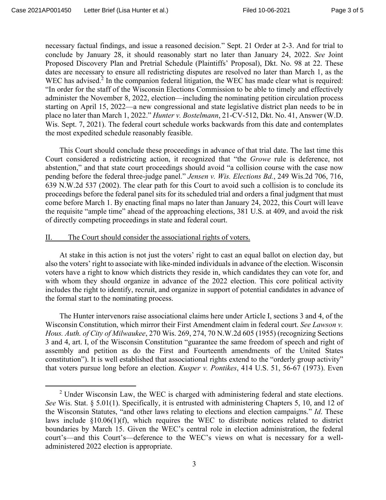necessary factual findings, and issue a reasoned decision." Sept. 21 Order at 2-3. And for trial to conclude by January 28, it should reasonably start no later than January 24, 2022. *See* Joint Proposed Discovery Plan and Pretrial Schedule (Plaintiffs' Proposal), Dkt. No. 98 at 22. These dates are necessary to ensure all redistricting disputes are resolved no later than March 1, as the WEC has advised.<sup>2</sup> In the companion federal litigation, the WEC has made clear what is required: "In order for the staff of the Wisconsin Elections Commission to be able to timely and effectively administer the November 8, 2022, election—including the nominating petition circulation process starting on April 15, 2022—a new congressional and state legislative district plan needs to be in place no later than March 1, 2022." *Hunter v. Bostelmann*, 21-CV-512, Dkt. No. 41, Answer (W.D. Wis. Sept. 7, 2021). The federal court schedule works backwards from this date and contemplates the most expedited schedule reasonably feasible.

This Court should conclude these proceedings in advance of that trial date. The last time this Court considered a redistricting action, it recognized that "the *Growe* rule is deference, not abstention," and that state court proceedings should avoid "a collision course with the case now pending before the federal three-judge panel." *Jensen v. Wis. Elections Bd.*, 249 Wis.2d 706, 716, 639 N.W.2d 537 (2002). The clear path for this Court to avoid such a collision is to conclude its proceedings before the federal panel sits for its scheduled trial and orders a final judgment that must come before March 1. By enacting final maps no later than January 24, 2022, this Court will leave the requisite "ample time" ahead of the approaching elections, 381 U.S. at 409, and avoid the risk of directly competing proceedings in state and federal court.

### II. The Court should consider the associational rights of voters.

At stake in this action is not just the voters' right to cast an equal ballot on election day, but also the voters' right to associate with like-minded individuals in advance of the election. Wisconsin voters have a right to know which districts they reside in, which candidates they can vote for, and with whom they should organize in advance of the 2022 election. This core political activity includes the right to identify, recruit, and organize in support of potential candidates in advance of the formal start to the nominating process.

The Hunter intervenors raise associational claims here under Article I, sections 3 and 4, of the Wisconsin Constitution, which mirror their First Amendment claim in federal court. *See Lawson v. Hous. Auth. of City of Milwaukee*, 270 Wis. 269, 274, 70 N.W.2d 605 (1955) (recognizing Sections 3 and 4, art. I, of the Wisconsin Constitution "guarantee the same freedom of speech and right of assembly and petition as do the First and Fourteenth amendments of the United States constitution"). It is well established that associational rights extend to the "orderly group activity" that voters pursue long before an election. *Kusper v. Pontikes*, 414 U.S. 51, 56-67 (1973). Even

<sup>&</sup>lt;sup>2</sup> Under Wisconsin Law, the WEC is charged with administering federal and state elections. *See* Wis. Stat. § 5.01(1). Specifically, it is entrusted with administering Chapters 5, 10, and 12 of the Wisconsin Statutes, "and other laws relating to elections and election campaigns." *Id*. These laws include §10.06(1)(f), which requires the WEC to distribute notices related to district boundaries by March 15. Given the WEC's central role in election administration, the federal court's—and this Court's—deference to the WEC's views on what is necessary for a welladministered 2022 election is appropriate.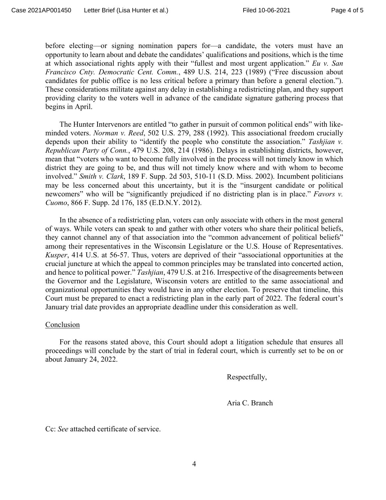before electing—or signing nomination papers for—a candidate, the voters must have an opportunity to learn about and debate the candidates' qualifications and positions, which is the time at which associational rights apply with their "fullest and most urgent application." *Eu v. San Francisco Cnty. Democratic Cent. Comm.*, 489 U.S. 214, 223 (1989) ("Free discussion about candidates for public office is no less critical before a primary than before a general election."). These considerations militate against any delay in establishing a redistricting plan, and they support providing clarity to the voters well in advance of the candidate signature gathering process that begins in April.

The Hunter Intervenors are entitled "to gather in pursuit of common political ends" with likeminded voters. *Norman v. Reed*, 502 U.S. 279, 288 (1992). This associational freedom crucially depends upon their ability to "identify the people who constitute the association." *Tashjian v. Republican Party of Conn.*, 479 U.S. 208, 214 (1986). Delays in establishing districts, however, mean that "voters who want to become fully involved in the process will not timely know in which district they are going to be, and thus will not timely know where and with whom to become involved." *Smith v. Clark*, 189 F. Supp. 2d 503, 510-11 (S.D. Miss. 2002). Incumbent politicians may be less concerned about this uncertainty, but it is the "insurgent candidate or political newcomers" who will be "significantly prejudiced if no districting plan is in place." *Favors v. Cuomo*, 866 F. Supp. 2d 176, 185 (E.D.N.Y. 2012).

In the absence of a redistricting plan, voters can only associate with others in the most general of ways. While voters can speak to and gather with other voters who share their political beliefs, they cannot channel any of that association into the "common advancement of political beliefs" among their representatives in the Wisconsin Legislature or the U.S. House of Representatives. *Kusper*, 414 U.S. at 56-57. Thus, voters are deprived of their "associational opportunities at the crucial juncture at which the appeal to common principles may be translated into concerted action, and hence to political power." *Tashjian*, 479 U.S. at 216. Irrespective of the disagreements between the Governor and the Legislature, Wisconsin voters are entitled to the same associational and organizational opportunities they would have in any other election. To preserve that timeline, this Court must be prepared to enact a redistricting plan in the early part of 2022. The federal court's January trial date provides an appropriate deadline under this consideration as well.

#### Conclusion

For the reasons stated above, this Court should adopt a litigation schedule that ensures all proceedings will conclude by the start of trial in federal court, which is currently set to be on or about January 24, 2022.

Respectfully,

Aria C. Branch

Cc: *See* attached certificate of service.